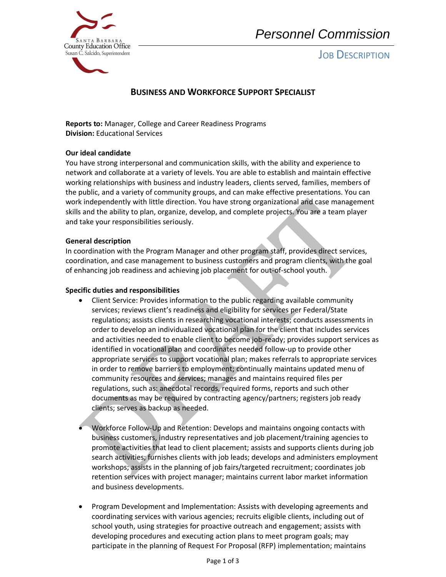

# *Personnel Commission*

# **JOB DESCRIPTION**

# **BUSINESS AND WORKFORCE SUPPORT SPECIALIST**

**Reports to:** Manager, College and Career Readiness Programs **Division:** Educational Services

## **Our ideal candidate**

work independently with little direction. You have strong organizational and case management skills and the ability to plan, organize, develop, and complete projects. You are a team player and take your responsibilities seriously. You have strong interpersonal and communication skills, with the ability and experience to network and collaborate at a variety of levels. You are able to establish and maintain effective working relationships with business and industry leaders, clients served, families, members of the public, and a variety of community groups, and can make effective presentations. You can

#### **General description**

In coordination with the Program Manager and other program staff, provides direct services, coordination, and case management to business customers and program clients, with the goal of enhancing job readiness and achieving job placement for out-of-school youth.

#### **Specific duties and responsibilities**

- Client Service: Provides information to the public regarding available community services; reviews client's readiness and eligibility for services per Federal/State regulations; assists clients in researching vocational interests; conducts assessments in order to develop an individualized vocational plan for the client that includes services and activities needed to enable client to become job-ready; provides support services as identified in vocational plan and coordinates needed follow-up to provide other appropriate services to support vocational plan; makes referrals to appropriate services in order to remove barriers to employment; continually maintains updated menu of community resources and services; manages and maintains required files per regulations, such as: anecdotal records, required forms, reports and such other documents as may be required by contracting agency/partners; registers job ready clients; serves as backup as needed.
- Workforce Follow-Up and Retention: Develops and maintains ongoing contacts with business customers, industry representatives and job placement/training agencies to promote activities that lead to client placement; assists and supports clients during job search activities; furnishes clients with job leads; develops and administers employment workshops; assists in the planning of job fairs/targeted recruitment; coordinates job retention services with project manager; maintains current labor market information and business developments.
- Program Development and Implementation: Assists with developing agreements and coordinating services with various agencies; recruits eligible clients, including out of school youth, using strategies for proactive outreach and engagement; assists with developing procedures and executing action plans to meet program goals; may participate in the planning of Request For Proposal (RFP) implementation; maintains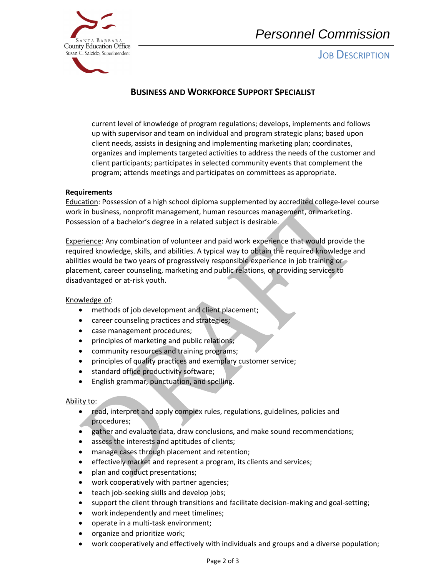

**JOB DESCRIPTION** 



# **BUSINESS AND WORKFORCE SUPPORT SPECIALIST**

current level of knowledge of program regulations; develops, implements and follows up with supervisor and team on individual and program strategic plans; based upon client needs, assists in designing and implementing marketing plan; coordinates, organizes and implements targeted activities to address the needs of the customer and client participants; participates in selected community events that complement the program; attends meetings and participates on committees as appropriate.

## **Requirements**

Education: Possession of a high school diploma supplemented by accredited college-level course work in business, nonprofit management, human resources management, or marketing. Possession of a bachelor's degree in a related subject is desirable.

Experience: Any combination of volunteer and paid work experience that would provide the required knowledge, skills, and abilities. A typical way to obtain the required knowledge and abilities would be two years of progressively responsible experience in job training or placement, career counseling, marketing and public relations, or providing services to disadvantaged or at-risk youth.

## Knowledge of:

- methods of job development and client placement;
- career counseling practices and strategies;
- case management procedures;
- principles of marketing and public relations;
- community resources and training programs;
- principles of quality practices and exemplary customer service;
- standard office productivity software;
- English grammar, punctuation, and spelling.

#### Ability to:

- read, interpret and apply complex rules, regulations, guidelines, policies and procedures;
- gather and evaluate data, draw conclusions, and make sound recommendations;
- assess the interests and aptitudes of clients;
- manage cases through placement and retention;
- effectively market and represent a program, its clients and services;
- plan and conduct presentations;
- work cooperatively with partner agencies;
- teach job-seeking skills and develop jobs;
- support the client through transitions and facilitate decision-making and goal-setting;
- work independently and meet timelines;
- operate in a multi-task environment;
- organize and prioritize work;
- work cooperatively and effectively with individuals and groups and a diverse population;